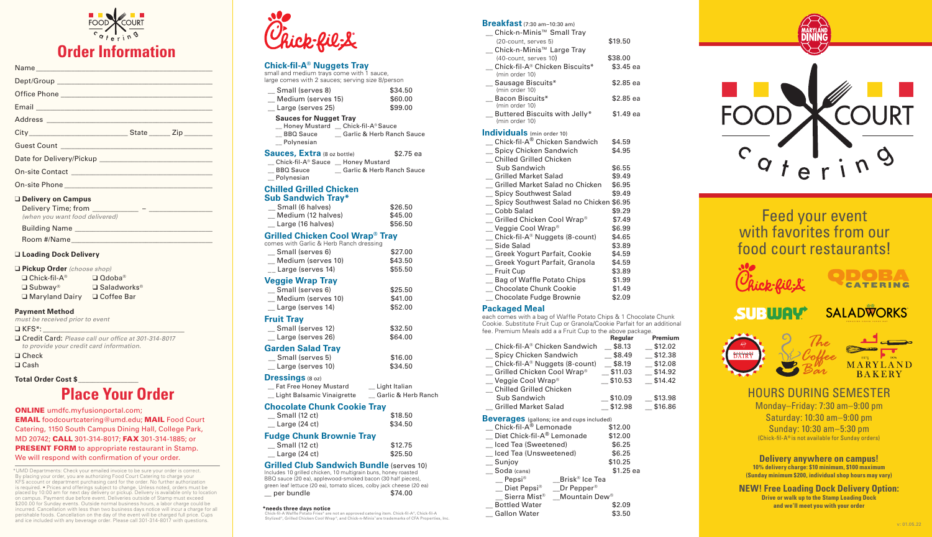### **Chick-fil-A® Nuggets Tray**

small and medium trays come with 1 sauce, large comes with 2 sauces; serving size 8/person

- **Sauces for Nugget Tray**
- \_\_ Honey Mustard \_\_ Chick-fil-A® Sauce BBQ Sauce \_\_\_ Garlic & Herb Ranch Sauce
- Polynesian

| Small (serves 8)   | \$34.50 |
|--------------------|---------|
| Medium (serves 15) | \$60.00 |
| Large (serves 25)  | \$99.00 |

BBQ Sauce \_\_\_\_\_\_\_\_\_ Garlic & Herb Ranch Sauce \_\_ Polynesian

| <b>Sauces, Extra (8 oz bottle)</b> |                      | \$2.75 ea |  |
|------------------------------------|----------------------|-----------|--|
| Chick-fil-A <sup>®</sup> Sauce     | <b>Honey Mustard</b> |           |  |

#### **Chilled Grilled Chicken Sub Sandwich Tray\***

**Example 18 Small (serves 5)** \$16.00 \_\_ Large (serves 10) \$34.50

\_\_ Fat Free Honey Mustard \_\_ Light Italian \_\_ Light Balsamic Vinaigrette \_\_ Garlic & Herb Ranch

| <b>Grilled Chicken Cool Wrap<sup>®</sup> Tray</b> |         |  |
|---------------------------------------------------|---------|--|
| $\mathcal{L}$ Large (16 halves)                   | \$56.50 |  |
| Medium (12 halves)                                | \$45.00 |  |
| Small (6 halves)                                  | \$26.50 |  |

| comes with Garlic & Herb Ranch dressing |         |
|-----------------------------------------|---------|
| Small (serves 6)                        | \$27.00 |

| _ Medium (serves 10)            | \$43.50 |
|---------------------------------|---------|
| $\mathcal{L}$ Large (serves 14) | \$55.50 |
| Veggie Wrap Tray                |         |
| Small (serves 6)                | \$25.50 |
| Medium (serves 10)              | \$41.00 |
| __ Large (serves 14)            | \$52.00 |
| <b>Fruit Tray</b>               |         |
| _ Small (serves 12)             | \$32.50 |
| _ Large (serves 26)             | \$64.00 |
|                                 |         |

#### **Garden Salad Tray**

#### **Dressings** (8 oz)

#### **Chocolate Chunk Cookie Tray**

| Small (12 ct)           | \$18.50 |
|-------------------------|---------|
| Large $(24 \text{ ct})$ | \$34.50 |

#### **Fudge Chunk Brownie Tray**

| Small (12 ct)           | \$12.75 |
|-------------------------|---------|
| Large $(24 \text{ ct})$ | \$25.50 |

#### **Grilled Club Sandwich Bundle (serves 10)**

Includes 10 grilled chicken, 10 multigrain buns, honey roasted BBQ sauce (20 ea), applewood-smoked bacon (30 half pieces), green leaf lettuce (20 ea), tomato slices, colby jack cheese (20 ea) \_\_ per bundle \$74.00

#### **Breakfast** (7:30 am–10:30 am)

**\*needs three days notice**<br>
Chick-fil-A Waffle Potato Fries® are not an approved catering item. Chick-fil-A®, Chick-fil-A®, Chick-fil-A®, Chick-fil-A®, Chick-fil-A®, Chick-fil-A®, Chick-fil-A®, Chick-fil-A®, Chick-fil-A®, Stylized®, Grilled Chicken Cool Wrap®, and Chick-n-Minis™are trademarks of CFA Properties, Inc.

| <b>DI CARTASL</b> (7:30 am–10:30 am)              |            |  |
|---------------------------------------------------|------------|--|
| <u></u> Chick-n-Minis™ Small Tray                 |            |  |
| (20-count, serves 5)                              | \$19.50    |  |
| _ Chick-n-Minis <sup>™</sup> Large Tray           |            |  |
| $(40$ -count, serves 10 $)$                       | \$38.00    |  |
| Chick-fil-A® Chicken Biscuits*<br>(min order 10)  | $$3.45$ ea |  |
| _ Sausage Biscuits*<br>(min order 10)             | \$2.85 ea  |  |
| _ Bacon Biscuits*<br>(min order 10)               | \$2.85 ea  |  |
| _ Buttered Biscuits with Jelly*<br>(min order 10) | $$1.49$ ea |  |
| <b>Individuals</b> (min order 10)                 |            |  |
| _ Chick-fil-A® Chicken Sandwich                   | \$4.59     |  |
| _ Spicy Chicken Sandwich                          | \$4.95     |  |
| Chilled Grilled Chicken                           |            |  |
| Sub Sandwich                                      | \$6.55     |  |
| Grilled Market Salad                              | \$9.49     |  |
| Grilled Market Salad no Chicken                   | \$6.95     |  |
| _ Spicy Southwest Salad                           | \$9.49     |  |
| _ Spicy Southwest Salad no Chicken \$6.95         |            |  |
| Cobb Salad                                        | \$9.29     |  |
| $\hspace{0.1cm} \_$ Grilled Chicken Cool Wrap®    | \$7.49     |  |
| _ Veggie Cool Wrap®                               | \$6.99     |  |
| _ Chick-fil-A <sup>®</sup> Nuggets (8-count)      | \$4.65     |  |
| Side Salad                                        | \$3.89     |  |
| _ Greek Yogurt Parfait, Cookie                    | \$4.59     |  |
| _ Greek Yogurt Parfait, Granola                   | \$4.59     |  |
| Fruit Cup                                         | \$3.89     |  |
| _ Bag of Waffle Potato Chips                      | \$1.99     |  |
| _ Chocolate Chunk Cookie                          | \$1.49     |  |
| Chocolate Fudge Brownie                           | \$2.09     |  |
|                                                   |            |  |

#### **Packaged Meal**

each comes with a bag of Waffle Potato Chips & 1 Chocolate Chunk Cookie. Substitute Fruit Cup or Granola/Cookie Parfait for an additional fee. Premium Meals add a a Fruit Cup to the above package.

|                                                   | <b>Regular</b> | Premium |
|---------------------------------------------------|----------------|---------|
| Chick-fil-A® Chicken Sandwich                     | \$8.13         | \$12.02 |
| Spicy Chicken Sandwich                            | \$8.49         | \$12.38 |
| Chick-fil-A <sup>®</sup> Nuggets (8-count)        | \$8.19         | \$12.08 |
| Grilled Chicken Cool Wrap®                        | \$11.03        | \$14.92 |
| Veggie Cool Wrap®                                 | \$10.53        | \$14.42 |
| Chilled Grilled Chicken                           |                |         |
| Sub Sandwich                                      | \$10.09        | \$13.98 |
| <b>Grilled Market Salad</b>                       | \$12.98        | \$16.86 |
| <b>Beverages</b> (gallons; ice and cups included) |                |         |
| Chick-fil-A® Lemonade                             | \$12.00        |         |
| Diet Chick-fil-A® Lemonade                        | \$12.00        |         |
| _ Iced Tea (Sweetened)                            | \$6.25         |         |
| lced Tea (Unsweetened)                            | \$6.25         |         |
|                                                   |                |         |

| iced Tea (Unsweetened)   |                            | \$6.25     |
|--------------------------|----------------------------|------------|
| Sunjoy                   |                            | \$10.25    |
| Soda (cans)              |                            | $$1.25$ ea |
| Pepsi®                   | Brisk <sup>®</sup> Ice Tea |            |
| Diet Pepsi®              | Dr Pepper®                 |            |
| Sierra Mist <sup>®</sup> | Mountain Dew®              |            |
| <b>Bottled Water</b>     |                            | \$2.09     |



Feed your event with favorites from our food court restaurants!











MARYLAND **BAKERY** 

HOURS DURING SEMESTER Monday–Friday: 7:30 am–9:00 pm Saturday: 10:30 am–9:00 pm Sunday: 10:30 am–5:30 pm (Chick-fil-A® is not available for Sunday orders)

**Delivery anywhere on campus! 10% delivery charge: \$10 minimum, \$100 maximum (Sunday minimum \$200, individual shop hours may vary)**

## **NEW! Free Loading Dock Delivery Option:**

**Drive or walk up to the Stamp Loading Dock and we'll meet you with your order**



# **Order Information**

| Office Phone Lawrence and Charles Contract and Charles Contract and Charles Contract and Charles Contract and   |  |
|-----------------------------------------------------------------------------------------------------------------|--|
| Email entry and the contract of the contract of the contract of the contract of the contract of the contract of |  |
|                                                                                                                 |  |
|                                                                                                                 |  |
|                                                                                                                 |  |
|                                                                                                                 |  |
|                                                                                                                 |  |
|                                                                                                                 |  |
| $\Box$ Delivery on Campus                                                                                       |  |

#### ❑ **Delivery on Campus**

| Delivery Time; from            |  |
|--------------------------------|--|
| (when you want food delivered) |  |

| <b>Building Name</b> |  |
|----------------------|--|
|----------------------|--|

Room #/Name

#### ❑ **Loading Dock Delivery**

| <b>Pickup Order</b> (choose shop) |  |  |
|-----------------------------------|--|--|
|-----------------------------------|--|--|

| $\Box$ Chick-fil-A <sup>®</sup> | $\Box$ Odoba®         |
|---------------------------------|-----------------------|
| $\Box$ Subway®                  | $\square$ Saladworks® |
| Maryland Dairy                  | $\Box$ Coffee Bar     |

#### **Payment Method**

*must be received prior to event*

 $\Box$  KFS<sup>\*</sup>:

❑ Credit Card: *Please call our office at 301-314-8017 to provide your credit card information.*

❑ Check

❑ Cash

## **Total Order Cost \$\_\_\_\_\_\_\_\_\_\_\_\_\_\_\_\_\_**

## **Place Your Order**

ONLINE umdfc.myfusionportal.com; EMAIL foodcourtcatering@umd.edu; MAIL Food Court Catering, 1150 South Campus Dining Hall, College Park, MD 20742; CALL 301-314-8017; FAX 301-314-1885; or **PRESENT FORM** to appropriate restaurant in Stamp. We will respond with confirmation of your order.

\*UMD Departments: Check your emailed invoice to be sure your order is correct. By placing your order, you are authorizing Food Court Catering to charge your KFS account or department purchasing card for the order. No further authorization<br>is required. • Prices and offerings subject to change. Unless noted, orders must be<br>placed by 10:00 am for next day delivery or pickup. Deli on campus. Payment due before event. Deliveries outside of Stamp must exceed \$200.00 for Sunday events. Outside normal business hours, a labor charge could be incurred. Cancellation with less than two business days notice will incur a charge for all perishable foods. Cancellation on the day of the event will be charged full price. Cups and ice included with any beverage order. Please call 301-314-8017 with questions.